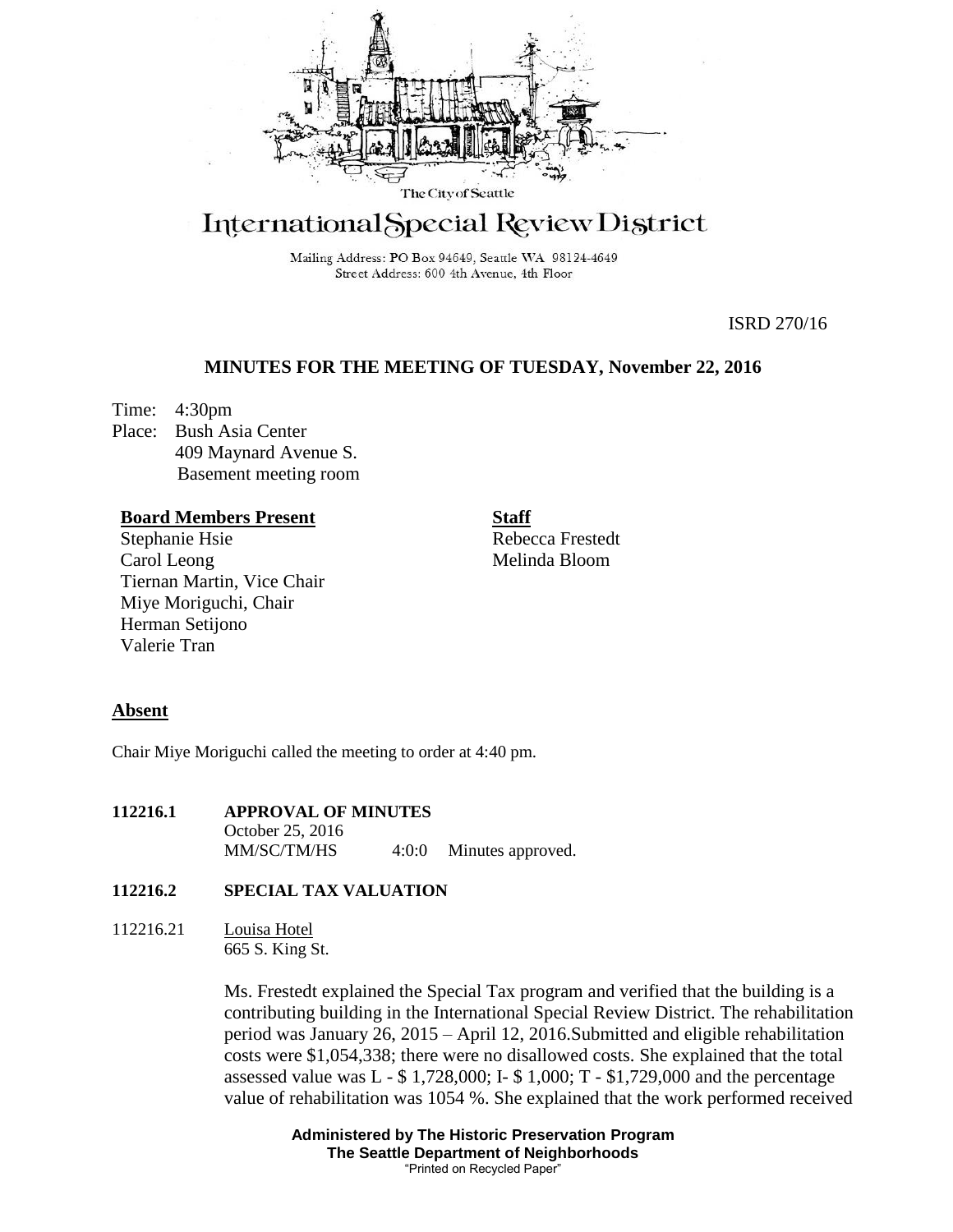

# International Special Review District

Mailing Address: PO Box 94649, Seattle WA 98124-4649 Street Address: 600 4th Avenue, 4th Floor

ISRD 270/16

## **MINUTES FOR THE MEETING OF TUESDAY, November 22, 2016**

Time: 4:30pm Place: Bush Asia Center 409 Maynard Avenue S. Basement meeting room

#### **Board Members Present**

Stephanie Hsie Carol Leong Tiernan Martin, Vice Chair Miye Moriguchi, Chair Herman Setijono Valerie Tran

**Staff** Rebecca Frestedt Melinda Bloom

### **Absent**

Chair Miye Moriguchi called the meeting to order at 4:40 pm.

**112216.1 APPROVAL OF MINUTES** October 25, 2016 MM/SC/TM/HS 4:0:0 Minutes approved.

# **112216.2 SPECIAL TAX VALUATION**

112216.21 Louisa Hotel 665 S. King St.

> Ms. Frestedt explained the Special Tax program and verified that the building is a contributing building in the International Special Review District. The rehabilitation period was January 26, 2015 – April 12, 2016.Submitted and eligible rehabilitation costs were \$1,054,338; there were no disallowed costs. She explained that the total assessed value was  $L - $ 1,728,000$ ; I- $$ 1,000$ ; T -  $$1,729,000$  and the percentage value of rehabilitation was 1054 %. She explained that the work performed received

> > **Administered by The Historic Preservation Program The Seattle Department of Neighborhoods** "Printed on Recycled Paper"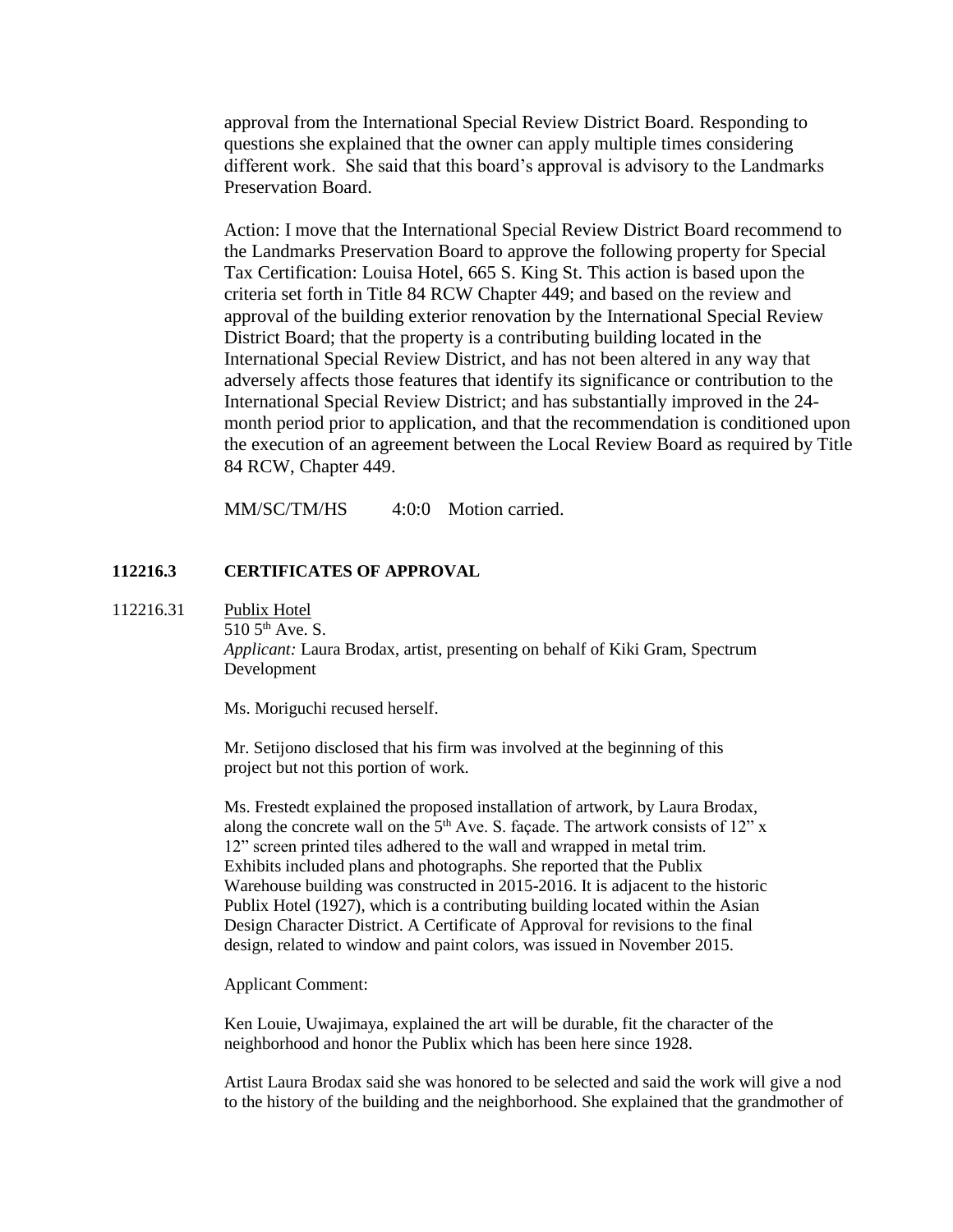approval from the International Special Review District Board. Responding to questions she explained that the owner can apply multiple times considering different work. She said that this board's approval is advisory to the Landmarks Preservation Board.

Action: I move that the International Special Review District Board recommend to the Landmarks Preservation Board to approve the following property for Special Tax Certification: Louisa Hotel, 665 S. King St. This action is based upon the criteria set forth in Title 84 RCW Chapter 449; and based on the review and approval of the building exterior renovation by the International Special Review District Board; that the property is a contributing building located in the International Special Review District, and has not been altered in any way that adversely affects those features that identify its significance or contribution to the International Special Review District; and has substantially improved in the 24 month period prior to application, and that the recommendation is conditioned upon the execution of an agreement between the Local Review Board as required by Title 84 RCW, Chapter 449.

MM/SC/TM/HS 4:0:0 Motion carried.

## **112216.3 CERTIFICATES OF APPROVAL**

112216.31 Publix Hotel

 $510\,5^{th}$  Ave. S.

*Applicant:* Laura Brodax, artist, presenting on behalf of Kiki Gram, Spectrum Development

Ms. Moriguchi recused herself.

Mr. Setijono disclosed that his firm was involved at the beginning of this project but not this portion of work.

Ms. Frestedt explained the proposed installation of artwork, by Laura Brodax, along the concrete wall on the  $5<sup>th</sup>$  Ave. S. façade. The artwork consists of 12" x 12" screen printed tiles adhered to the wall and wrapped in metal trim. Exhibits included plans and photographs. She reported that the Publix Warehouse building was constructed in 2015-2016. It is adjacent to the historic Publix Hotel (1927), which is a contributing building located within the Asian Design Character District. A Certificate of Approval for revisions to the final design, related to window and paint colors, was issued in November 2015.

Applicant Comment:

Ken Louie, Uwajimaya, explained the art will be durable, fit the character of the neighborhood and honor the Publix which has been here since 1928.

Artist Laura Brodax said she was honored to be selected and said the work will give a nod to the history of the building and the neighborhood. She explained that the grandmother of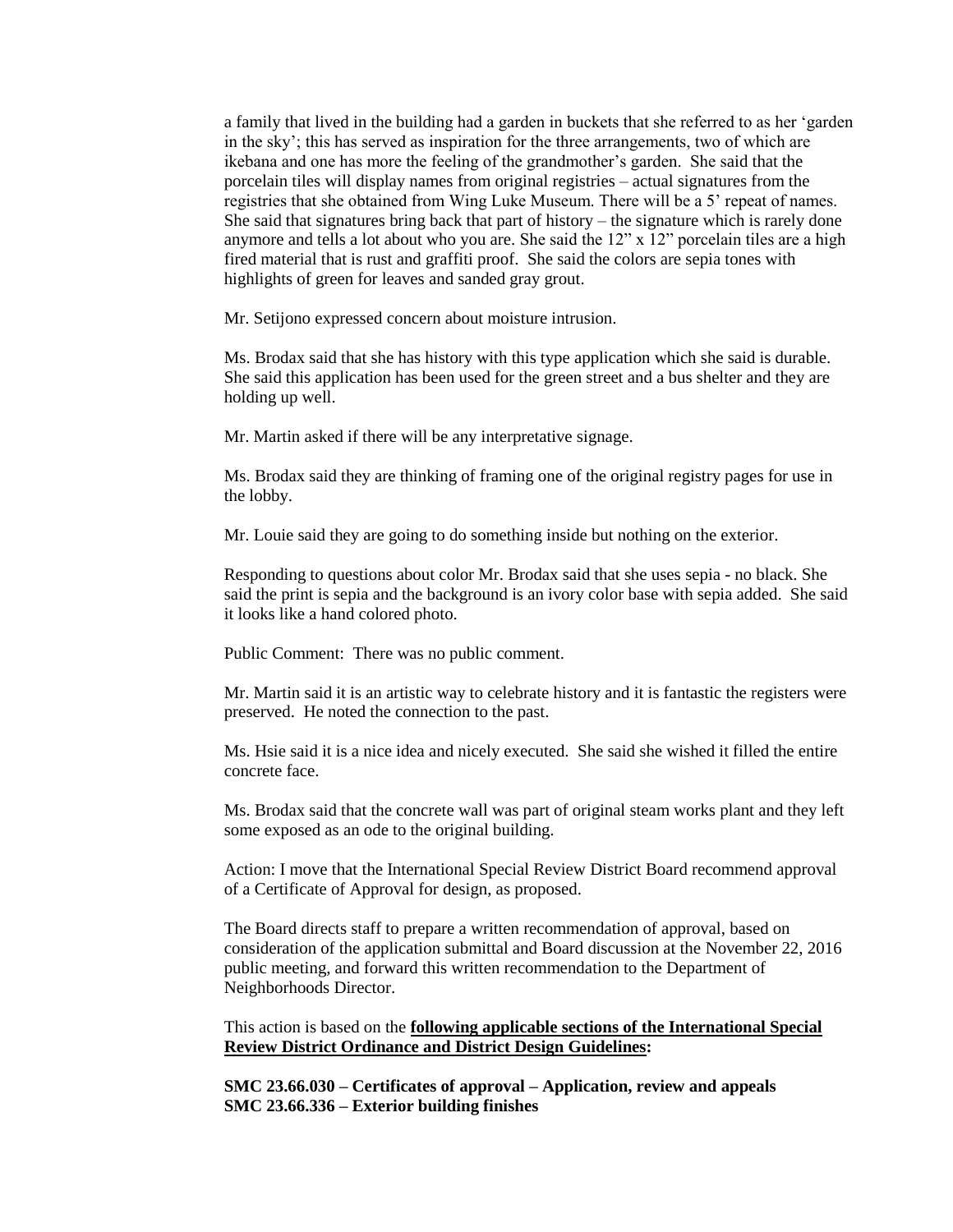a family that lived in the building had a garden in buckets that she referred to as her 'garden in the sky'; this has served as inspiration for the three arrangements, two of which are ikebana and one has more the feeling of the grandmother's garden. She said that the porcelain tiles will display names from original registries – actual signatures from the registries that she obtained from Wing Luke Museum. There will be a 5' repeat of names. She said that signatures bring back that part of history – the signature which is rarely done anymore and tells a lot about who you are. She said the 12" x 12" porcelain tiles are a high fired material that is rust and graffiti proof. She said the colors are sepia tones with highlights of green for leaves and sanded gray grout.

Mr. Setijono expressed concern about moisture intrusion.

Ms. Brodax said that she has history with this type application which she said is durable. She said this application has been used for the green street and a bus shelter and they are holding up well.

Mr. Martin asked if there will be any interpretative signage.

Ms. Brodax said they are thinking of framing one of the original registry pages for use in the lobby.

Mr. Louie said they are going to do something inside but nothing on the exterior.

Responding to questions about color Mr. Brodax said that she uses sepia - no black. She said the print is sepia and the background is an ivory color base with sepia added. She said it looks like a hand colored photo.

Public Comment: There was no public comment.

Mr. Martin said it is an artistic way to celebrate history and it is fantastic the registers were preserved. He noted the connection to the past.

Ms. Hsie said it is a nice idea and nicely executed. She said she wished it filled the entire concrete face.

Ms. Brodax said that the concrete wall was part of original steam works plant and they left some exposed as an ode to the original building.

Action: I move that the International Special Review District Board recommend approval of a Certificate of Approval for design, as proposed.

The Board directs staff to prepare a written recommendation of approval, based on consideration of the application submittal and Board discussion at the November 22, 2016 public meeting, and forward this written recommendation to the Department of Neighborhoods Director.

This action is based on the **following applicable sections of the International Special Review District Ordinance and District Design Guidelines:** 

**SMC 23.66.030 – Certificates of approval – Application, review and appeals SMC 23.66.336 – Exterior building finishes**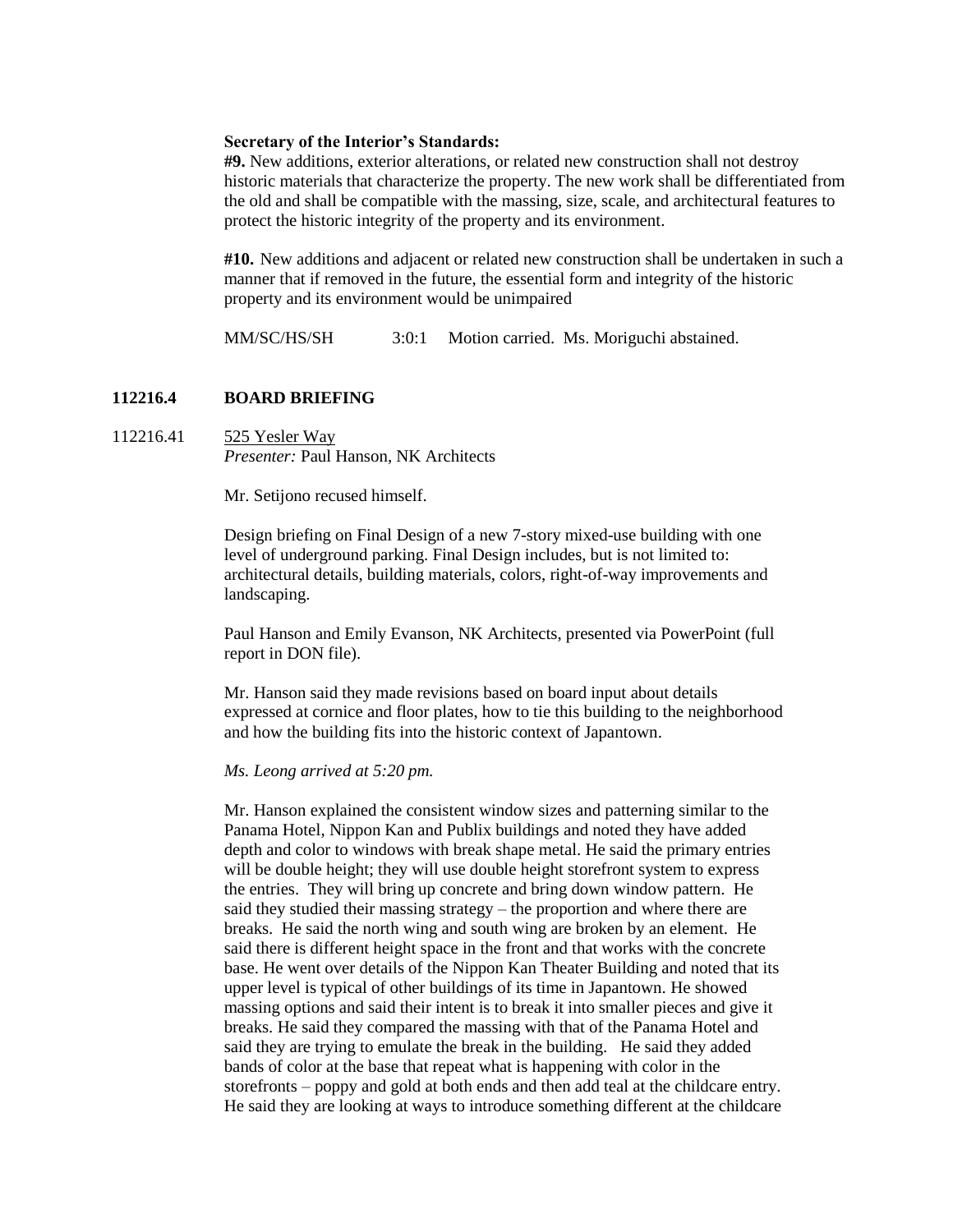#### **Secretary of the Interior's Standards:**

**#9.** New additions, exterior alterations, or related new construction shall not destroy historic materials that characterize the property. The new work shall be differentiated from the old and shall be compatible with the massing, size, scale, and architectural features to protect the historic integrity of the property and its environment.

**#10.** New additions and adjacent or related new construction shall be undertaken in such a manner that if removed in the future, the essential form and integrity of the historic property and its environment would be unimpaired

MM/SC/HS/SH 3:0:1 Motion carried. Ms. Moriguchi abstained.

#### **112216.4 BOARD BRIEFING**

112216.41 525 Yesler Way *Presenter:* Paul Hanson, NK Architects

Mr. Setijono recused himself.

Design briefing on Final Design of a new 7-story mixed-use building with one level of underground parking. Final Design includes, but is not limited to: architectural details, building materials, colors, right-of-way improvements and landscaping.

Paul Hanson and Emily Evanson, NK Architects, presented via PowerPoint (full report in DON file).

Mr. Hanson said they made revisions based on board input about details expressed at cornice and floor plates, how to tie this building to the neighborhood and how the building fits into the historic context of Japantown.

#### *Ms. Leong arrived at 5:20 pm.*

Mr. Hanson explained the consistent window sizes and patterning similar to the Panama Hotel, Nippon Kan and Publix buildings and noted they have added depth and color to windows with break shape metal. He said the primary entries will be double height; they will use double height storefront system to express the entries. They will bring up concrete and bring down window pattern. He said they studied their massing strategy – the proportion and where there are breaks. He said the north wing and south wing are broken by an element. He said there is different height space in the front and that works with the concrete base. He went over details of the Nippon Kan Theater Building and noted that its upper level is typical of other buildings of its time in Japantown. He showed massing options and said their intent is to break it into smaller pieces and give it breaks. He said they compared the massing with that of the Panama Hotel and said they are trying to emulate the break in the building. He said they added bands of color at the base that repeat what is happening with color in the storefronts – poppy and gold at both ends and then add teal at the childcare entry. He said they are looking at ways to introduce something different at the childcare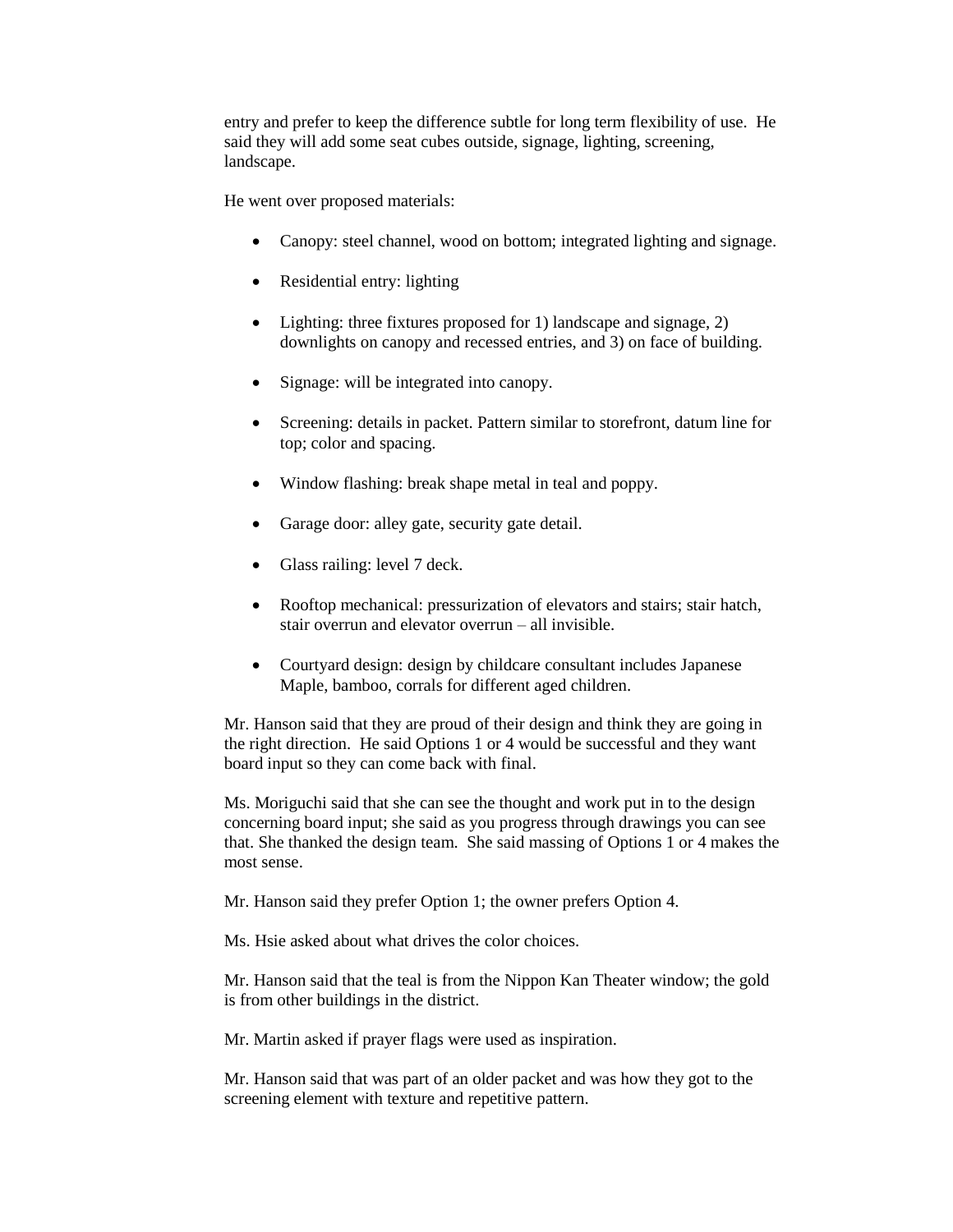entry and prefer to keep the difference subtle for long term flexibility of use. He said they will add some seat cubes outside, signage, lighting, screening, landscape.

He went over proposed materials:

- Canopy: steel channel, wood on bottom; integrated lighting and signage.
- Residential entry: lighting
- Lighting: three fixtures proposed for 1) landscape and signage, 2) downlights on canopy and recessed entries, and 3) on face of building.
- Signage: will be integrated into canopy.
- Screening: details in packet. Pattern similar to storefront, datum line for top; color and spacing.
- Window flashing: break shape metal in teal and poppy.
- Garage door: alley gate, security gate detail.
- Glass railing: level 7 deck.
- Rooftop mechanical: pressurization of elevators and stairs; stair hatch, stair overrun and elevator overrun – all invisible.
- Courtyard design: design by childcare consultant includes Japanese Maple, bamboo, corrals for different aged children.

Mr. Hanson said that they are proud of their design and think they are going in the right direction. He said Options 1 or 4 would be successful and they want board input so they can come back with final.

Ms. Moriguchi said that she can see the thought and work put in to the design concerning board input; she said as you progress through drawings you can see that. She thanked the design team. She said massing of Options 1 or 4 makes the most sense.

Mr. Hanson said they prefer Option 1; the owner prefers Option 4.

Ms. Hsie asked about what drives the color choices.

Mr. Hanson said that the teal is from the Nippon Kan Theater window; the gold is from other buildings in the district.

Mr. Martin asked if prayer flags were used as inspiration.

Mr. Hanson said that was part of an older packet and was how they got to the screening element with texture and repetitive pattern.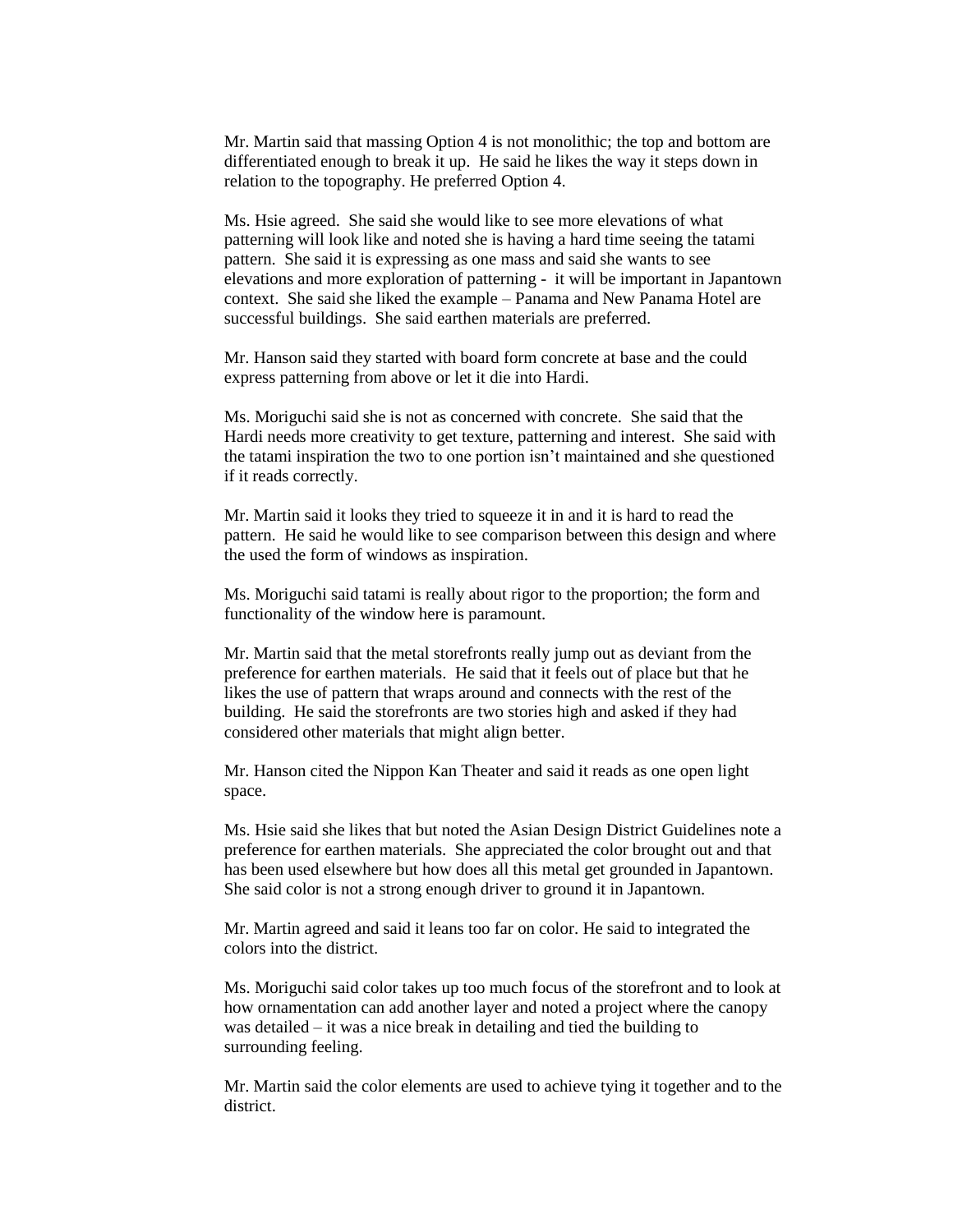Mr. Martin said that massing Option 4 is not monolithic; the top and bottom are differentiated enough to break it up. He said he likes the way it steps down in relation to the topography. He preferred Option 4.

Ms. Hsie agreed. She said she would like to see more elevations of what patterning will look like and noted she is having a hard time seeing the tatami pattern. She said it is expressing as one mass and said she wants to see elevations and more exploration of patterning - it will be important in Japantown context. She said she liked the example – Panama and New Panama Hotel are successful buildings. She said earthen materials are preferred.

Mr. Hanson said they started with board form concrete at base and the could express patterning from above or let it die into Hardi.

Ms. Moriguchi said she is not as concerned with concrete. She said that the Hardi needs more creativity to get texture, patterning and interest. She said with the tatami inspiration the two to one portion isn't maintained and she questioned if it reads correctly.

Mr. Martin said it looks they tried to squeeze it in and it is hard to read the pattern. He said he would like to see comparison between this design and where the used the form of windows as inspiration.

Ms. Moriguchi said tatami is really about rigor to the proportion; the form and functionality of the window here is paramount.

Mr. Martin said that the metal storefronts really jump out as deviant from the preference for earthen materials. He said that it feels out of place but that he likes the use of pattern that wraps around and connects with the rest of the building. He said the storefronts are two stories high and asked if they had considered other materials that might align better.

Mr. Hanson cited the Nippon Kan Theater and said it reads as one open light space.

Ms. Hsie said she likes that but noted the Asian Design District Guidelines note a preference for earthen materials. She appreciated the color brought out and that has been used elsewhere but how does all this metal get grounded in Japantown. She said color is not a strong enough driver to ground it in Japantown.

Mr. Martin agreed and said it leans too far on color. He said to integrated the colors into the district.

Ms. Moriguchi said color takes up too much focus of the storefront and to look at how ornamentation can add another layer and noted a project where the canopy was detailed – it was a nice break in detailing and tied the building to surrounding feeling.

Mr. Martin said the color elements are used to achieve tying it together and to the district.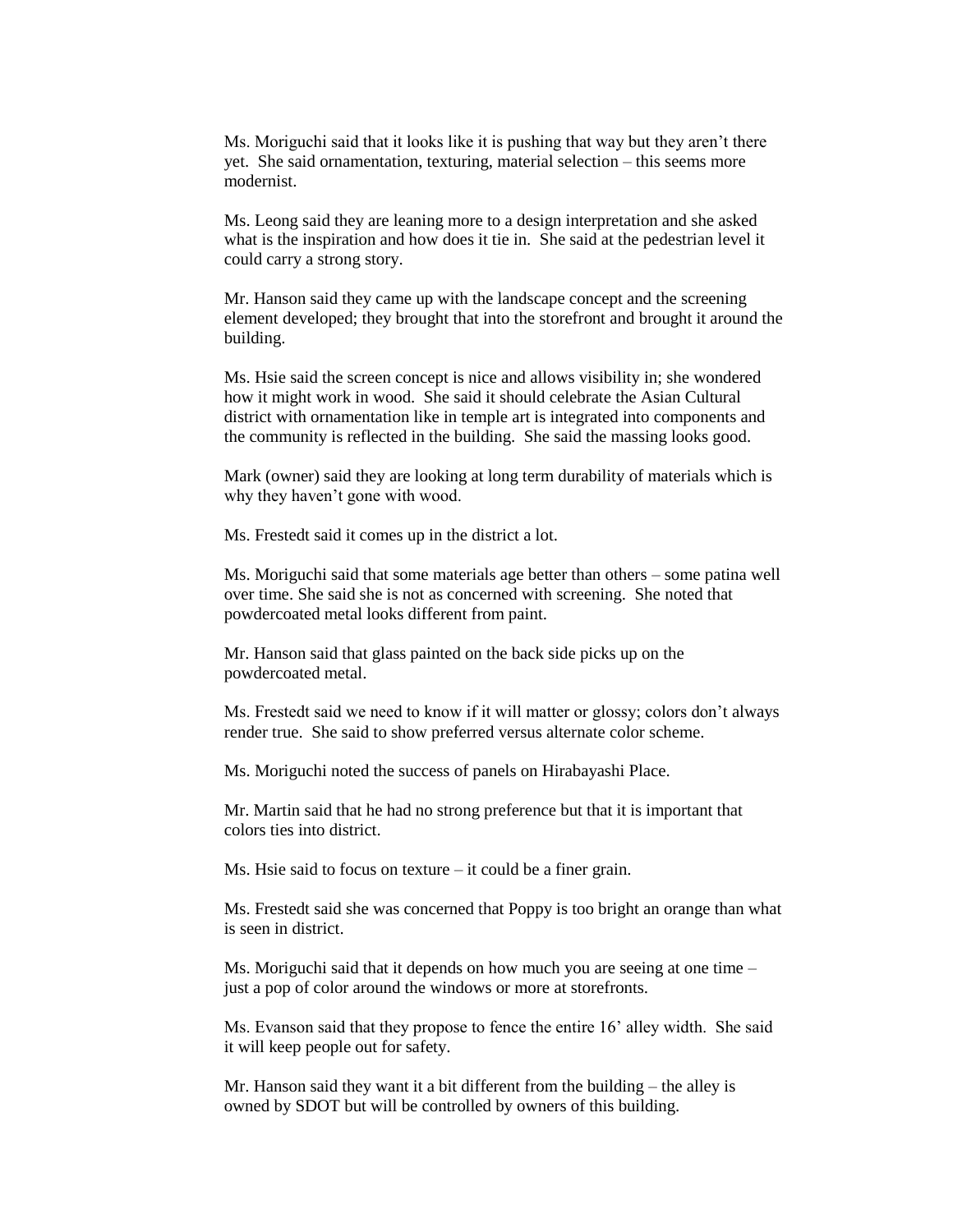Ms. Moriguchi said that it looks like it is pushing that way but they aren't there yet. She said ornamentation, texturing, material selection – this seems more modernist.

Ms. Leong said they are leaning more to a design interpretation and she asked what is the inspiration and how does it tie in. She said at the pedestrian level it could carry a strong story.

Mr. Hanson said they came up with the landscape concept and the screening element developed; they brought that into the storefront and brought it around the building.

Ms. Hsie said the screen concept is nice and allows visibility in; she wondered how it might work in wood. She said it should celebrate the Asian Cultural district with ornamentation like in temple art is integrated into components and the community is reflected in the building. She said the massing looks good.

Mark (owner) said they are looking at long term durability of materials which is why they haven't gone with wood.

Ms. Frestedt said it comes up in the district a lot.

Ms. Moriguchi said that some materials age better than others – some patina well over time. She said she is not as concerned with screening. She noted that powdercoated metal looks different from paint.

Mr. Hanson said that glass painted on the back side picks up on the powdercoated metal.

Ms. Frestedt said we need to know if it will matter or glossy; colors don't always render true. She said to show preferred versus alternate color scheme.

Ms. Moriguchi noted the success of panels on Hirabayashi Place.

Mr. Martin said that he had no strong preference but that it is important that colors ties into district.

Ms. Hsie said to focus on texture  $-$  it could be a finer grain.

Ms. Frestedt said she was concerned that Poppy is too bright an orange than what is seen in district.

Ms. Moriguchi said that it depends on how much you are seeing at one time – just a pop of color around the windows or more at storefronts.

Ms. Evanson said that they propose to fence the entire 16' alley width. She said it will keep people out for safety.

Mr. Hanson said they want it a bit different from the building – the alley is owned by SDOT but will be controlled by owners of this building.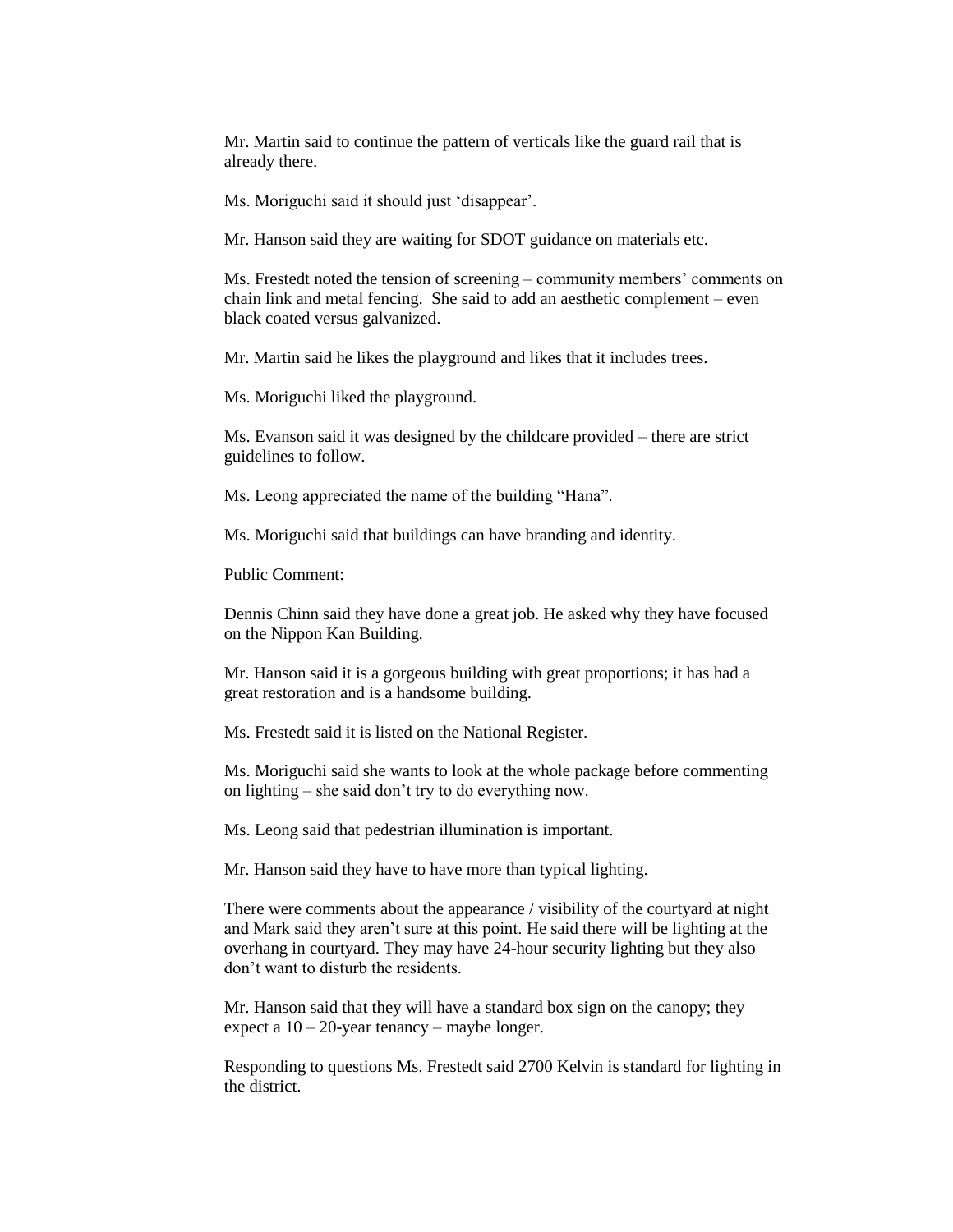Mr. Martin said to continue the pattern of verticals like the guard rail that is already there.

Ms. Moriguchi said it should just 'disappear'.

Mr. Hanson said they are waiting for SDOT guidance on materials etc.

Ms. Frestedt noted the tension of screening – community members' comments on chain link and metal fencing. She said to add an aesthetic complement – even black coated versus galvanized.

Mr. Martin said he likes the playground and likes that it includes trees.

Ms. Moriguchi liked the playground.

Ms. Evanson said it was designed by the childcare provided – there are strict guidelines to follow.

Ms. Leong appreciated the name of the building "Hana".

Ms. Moriguchi said that buildings can have branding and identity.

Public Comment:

Dennis Chinn said they have done a great job. He asked why they have focused on the Nippon Kan Building.

Mr. Hanson said it is a gorgeous building with great proportions; it has had a great restoration and is a handsome building.

Ms. Frestedt said it is listed on the National Register.

Ms. Moriguchi said she wants to look at the whole package before commenting on lighting – she said don't try to do everything now.

Ms. Leong said that pedestrian illumination is important.

Mr. Hanson said they have to have more than typical lighting.

There were comments about the appearance / visibility of the courtyard at night and Mark said they aren't sure at this point. He said there will be lighting at the overhang in courtyard. They may have 24-hour security lighting but they also don't want to disturb the residents.

Mr. Hanson said that they will have a standard box sign on the canopy; they expect a  $10 - 20$ -year tenancy – maybe longer.

Responding to questions Ms. Frestedt said 2700 Kelvin is standard for lighting in the district.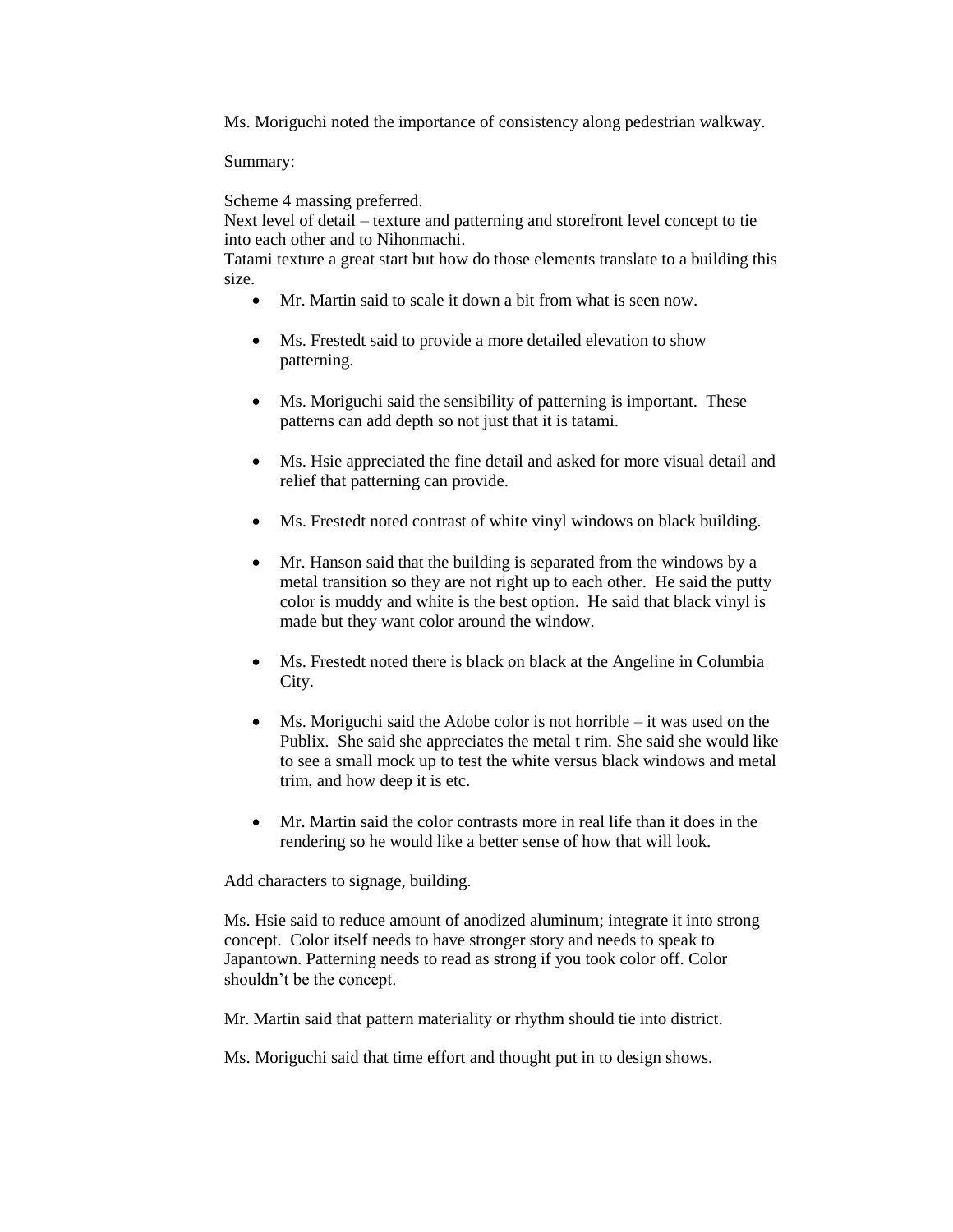Ms. Moriguchi noted the importance of consistency along pedestrian walkway.

Summary:

Scheme 4 massing preferred.

Next level of detail – texture and patterning and storefront level concept to tie into each other and to Nihonmachi.

Tatami texture a great start but how do those elements translate to a building this size.

- Mr. Martin said to scale it down a bit from what is seen now.
- Ms. Frestedt said to provide a more detailed elevation to show patterning.
- Ms. Moriguchi said the sensibility of patterning is important. These patterns can add depth so not just that it is tatami.
- Ms. Hsie appreciated the fine detail and asked for more visual detail and relief that patterning can provide.
- Ms. Frestedt noted contrast of white vinyl windows on black building.
- Mr. Hanson said that the building is separated from the windows by a metal transition so they are not right up to each other. He said the putty color is muddy and white is the best option. He said that black vinyl is made but they want color around the window.
- Ms. Frestedt noted there is black on black at the Angeline in Columbia City.
- Ms. Moriguchi said the Adobe color is not horrible it was used on the Publix. She said she appreciates the metal t rim. She said she would like to see a small mock up to test the white versus black windows and metal trim, and how deep it is etc.
- Mr. Martin said the color contrasts more in real life than it does in the rendering so he would like a better sense of how that will look.

Add characters to signage, building.

Ms. Hsie said to reduce amount of anodized aluminum; integrate it into strong concept. Color itself needs to have stronger story and needs to speak to Japantown. Patterning needs to read as strong if you took color off. Color shouldn't be the concept.

Mr. Martin said that pattern materiality or rhythm should tie into district.

Ms. Moriguchi said that time effort and thought put in to design shows.